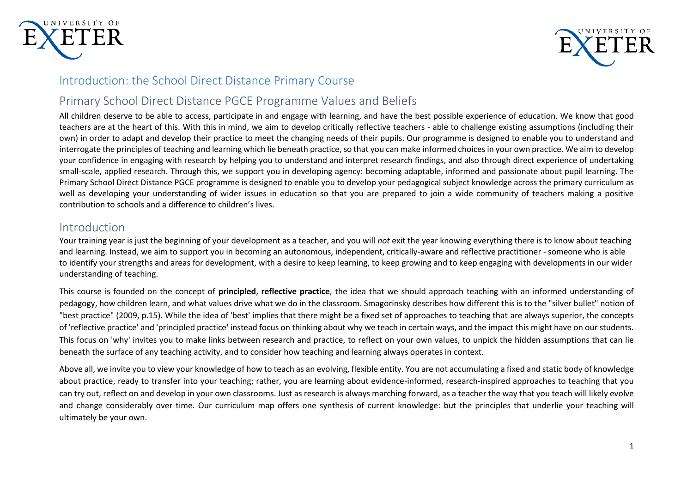



### Introduction: the School Direct Distance Primary Course

## Primary School Direct Distance PGCE Programme Values and Beliefs

All children deserve to be able to access, participate in and engage with learning, and have the best possible experience of education. We know that good teachers are at the heart of this. With this in mind, we aim to develop critically reflective teachers - able to challenge existing assumptions (including their own) in order to adapt and develop their practice to meet the changing needs of their pupils. Our programme is designed to enable you to understand and interrogate the principles of teaching and learning which lie beneath practice, so that you can make informed choices in your own practice. We aim to develop your confidence in engaging with research by helping you to understand and interpret research findings, and also through direct experience of undertaking small-scale, applied research. Through this, we support you in developing agency: becoming adaptable, informed and passionate about pupil learning. The Primary School Direct Distance PGCE programme is designed to enable you to develop your pedagogical subject knowledge across the primary curriculum as well as developing your understanding of wider issues in education so that you are prepared to join a wide community of teachers making a positive contribution to schools and a difference to children's lives.

## Introduction

Your training year is just the beginning of your development as a teacher, and you will *not* exit the year knowing everything there is to know about teaching and learning. Instead, we aim to support you in becoming an autonomous, independent, critically-aware and reflective practitioner - someone who is able to identify your strengths and areas for development, with a desire to keep learning, to keep growing and to keep engaging with developments in our wider understanding of teaching.

This course is founded on the concept of **principled**, **reflective practice**, the idea that we should approach teaching with an informed understanding of pedagogy, how children learn, and what values drive what we do in the classroom. Smagorinsky describes how different this is to the "silver bullet" notion of "best practice" (2009, p.15). While the idea of 'best' implies that there might be a fixed set of approaches to teaching that are always superior, the concepts of 'reflective practice' and 'principled practice' instead focus on thinking about why we teach in certain ways, and the impact this might have on our students. This focus on 'why' invites you to make links between research and practice, to reflect on your own values, to unpick the hidden assumptions that can lie beneath the surface of any teaching activity, and to consider how teaching and learning always operates in context.

Above all, we invite you to view your knowledge of how to teach as an evolving, flexible entity. You are not accumulating a fixed and static body of knowledge about practice, ready to transfer into your teaching; rather, you are learning about evidence-informed, research-inspired approaches to teaching that you can try out, reflect on and develop in your own classrooms. Just as research is always marching forward, as a teacher the way that you teach will likely evolve and change considerably over time. Our curriculum map offers one synthesis of current knowledge: but the principles that underlie your teaching will ultimately be your own.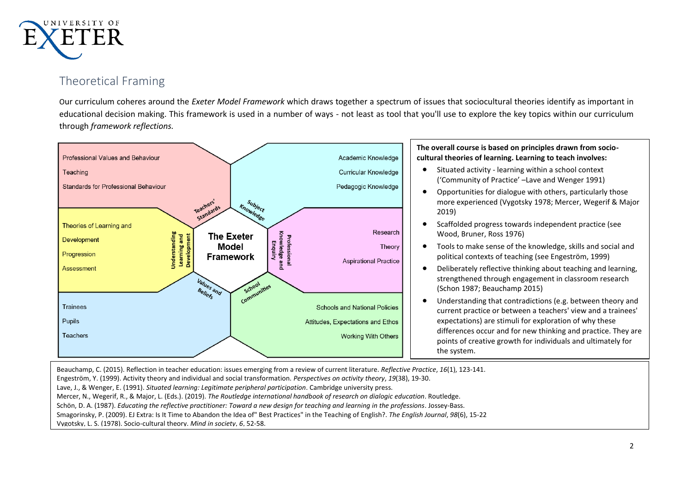

## Theoretical Framing

Our curriculum coheres around the *Exeter Model Framework* which draws together a spectrum of issues that sociocultural theories identify as important in educational decision making. This framework is used in a number of ways - not least as tool that you'll use to explore the key topics within our curriculum through *framework reflections.*



Beauchamp, C. (2015). Reflection in teacher education: issues emerging from a review of current literature. *Reflective Practice*, *16*(1), 123-141. Engeström, Y. (1999). Activity theory and individual and social transformation. *Perspectives on activity theory*, *19*(38), 19-30. Lave, J., & Wenger, E. (1991). *Situated learning: Legitimate peripheral participation*. Cambridge university press. Mercer, N., Wegerif, R., & Major, L. (Eds.). (2019). *The Routledge international handbook of research on dialogic education*. Routledge. Schön, D. A. (1987). *Educating the reflective practitioner: Toward a new design for teaching and learning in the professions*. Jossey-Bass. Smagorinsky, P. (2009). EJ Extra: Is It Time to Abandon the Idea of" Best Practices" in the Teaching of English?. *The English Journal*, *98*(6), 15-22 Vygotsky, L. S. (1978). Socio-cultural theory. *Mind in society*, *6*, 52-58.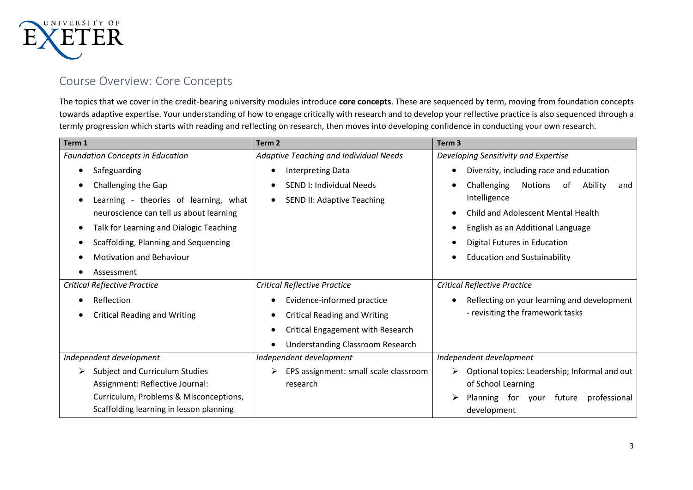

## Course Overview: Core Concepts

The topics that we cover in the credit-bearing university modules introduce **core concepts**. These are sequenced by term, moving from foundation concepts towards adaptive expertise. Your understanding of how to engage critically with research and to develop your reflective practice is also sequenced through a termly progression which starts with reading and reflecting on research, then moves into developing confidence in conducting your own research.

| Term 1                                  | Term <sub>2</sub>                                    | Term <sub>3</sub>                                     |  |
|-----------------------------------------|------------------------------------------------------|-------------------------------------------------------|--|
| <b>Foundation Concepts in Education</b> | Adaptive Teaching and Individual Needs               | Developing Sensitivity and Expertise                  |  |
| Safeguarding                            | <b>Interpreting Data</b>                             | Diversity, including race and education               |  |
| Challenging the Gap                     | SEND I: Individual Needs<br>$\bullet$                | Challenging<br>Ability<br><b>Notions</b><br>of<br>and |  |
| Learning - theories of learning, what   | <b>SEND II: Adaptive Teaching</b><br>$\bullet$       | Intelligence                                          |  |
| neuroscience can tell us about learning |                                                      | Child and Adolescent Mental Health                    |  |
| Talk for Learning and Dialogic Teaching |                                                      | English as an Additional Language                     |  |
| Scaffolding, Planning and Sequencing    |                                                      | Digital Futures in Education                          |  |
| <b>Motivation and Behaviour</b>         |                                                      | <b>Education and Sustainability</b>                   |  |
| Assessment                              |                                                      |                                                       |  |
| <b>Critical Reflective Practice</b>     | <b>Critical Reflective Practice</b>                  | <b>Critical Reflective Practice</b>                   |  |
| Reflection                              | Evidence-informed practice<br>$\bullet$              | Reflecting on your learning and development           |  |
| <b>Critical Reading and Writing</b>     | <b>Critical Reading and Writing</b><br>$\bullet$     | - revisiting the framework tasks                      |  |
|                                         | Critical Engagement with Research<br>$\bullet$       |                                                       |  |
|                                         | <b>Understanding Classroom Research</b><br>$\bullet$ |                                                       |  |
| Independent development                 | Independent development                              | Independent development                               |  |
| Subject and Curriculum Studies          | EPS assignment: small scale classroom                | Optional topics: Leadership; Informal and out<br>➤    |  |
| Assignment: Reflective Journal:         | research                                             | of School Learning                                    |  |
| Curriculum, Problems & Misconceptions,  |                                                      | Planning for<br>professional<br>future<br>vour        |  |
| Scaffolding learning in lesson planning |                                                      | development                                           |  |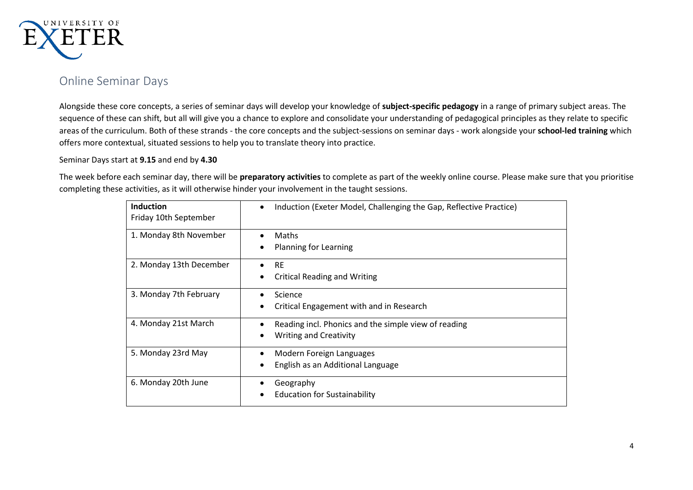

## Online Seminar Days

Alongside these core concepts, a series of seminar days will develop your knowledge of **subject-specific pedagogy** in a range of primary subject areas. The sequence of these can shift, but all will give you a chance to explore and consolidate your understanding of pedagogical principles as they relate to specific areas of the curriculum. Both of these strands - the core concepts and the subject-sessions on seminar days - work alongside your **school-led training** which offers more contextual, situated sessions to help you to translate theory into practice.

Seminar Days start at **9.15** and end by **4.30**

The week before each seminar day, there will be **preparatory activities** to complete as part of the weekly online course. Please make sure that you prioritise completing these activities, as it will otherwise hinder your involvement in the taught sessions.

| <b>Induction</b><br>Friday 10th September | Induction (Exeter Model, Challenging the Gap, Reflective Practice)<br>$\bullet$       |
|-------------------------------------------|---------------------------------------------------------------------------------------|
| 1. Monday 8th November                    | Maths<br>Planning for Learning                                                        |
| 2. Monday 13th December                   | <b>RE</b><br><b>Critical Reading and Writing</b>                                      |
| 3. Monday 7th February                    | Science<br>٠<br>Critical Engagement with and in Research<br>٠                         |
| 4. Monday 21st March                      | Reading incl. Phonics and the simple view of reading<br><b>Writing and Creativity</b> |
| 5. Monday 23rd May                        | Modern Foreign Languages<br>٠<br>English as an Additional Language<br>٠               |
| 6. Monday 20th June                       | Geography<br>٠<br><b>Education for Sustainability</b>                                 |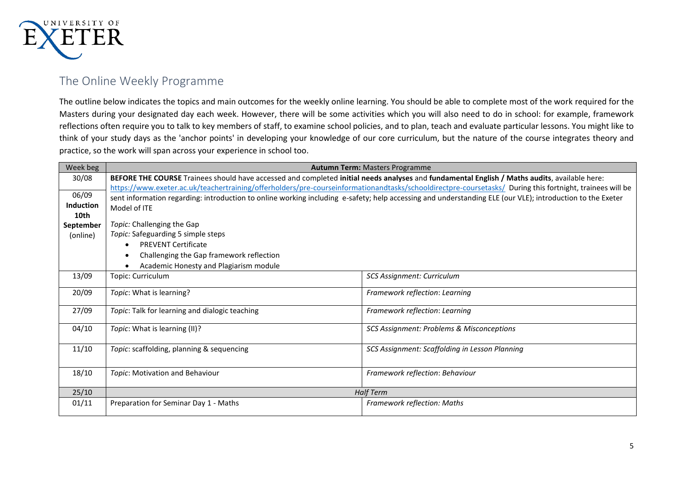

## The Online Weekly Programme

The outline below indicates the topics and main outcomes for the weekly online learning. You should be able to complete most of the work required for the Masters during your designated day each week. However, there will be some activities which you will also need to do in school: for example, framework reflections often require you to talk to key members of staff, to examine school policies, and to plan, teach and evaluate particular lessons. You might like to think of your study days as the 'anchor points' in developing your knowledge of our core curriculum, but the nature of the course integrates theory and practice, so the work will span across your experience in school too.

| Week beg         | <b>Autumn Term: Masters Programme</b>                                                                                                        |                                                                                                                                                           |  |
|------------------|----------------------------------------------------------------------------------------------------------------------------------------------|-----------------------------------------------------------------------------------------------------------------------------------------------------------|--|
| 30/08            | BEFORE THE COURSE Trainees should have accessed and completed initial needs analyses and fundamental English / Maths audits, available here: |                                                                                                                                                           |  |
|                  |                                                                                                                                              | https://www.exeter.ac.uk/teachertraining/offerholders/pre-courseinformationandtasks/schooldirectpre-coursetasks/ During this fortnight, trainees will be  |  |
| 06/09            |                                                                                                                                              | sent information regarding: introduction to online working including e-safety; help accessing and understanding ELE (our VLE); introduction to the Exeter |  |
| <b>Induction</b> | Model of ITE                                                                                                                                 |                                                                                                                                                           |  |
| 10th             |                                                                                                                                              |                                                                                                                                                           |  |
| September        | Topic: Challenging the Gap                                                                                                                   |                                                                                                                                                           |  |
| (online)         | Topic: Safeguarding 5 simple steps                                                                                                           |                                                                                                                                                           |  |
|                  | <b>PREVENT Certificate</b>                                                                                                                   |                                                                                                                                                           |  |
|                  | Challenging the Gap framework reflection                                                                                                     |                                                                                                                                                           |  |
|                  | Academic Honesty and Plagiarism module                                                                                                       |                                                                                                                                                           |  |
| 13/09            | Topic: Curriculum                                                                                                                            | SCS Assignment: Curriculum                                                                                                                                |  |
| 20/09            | Topic: What is learning?                                                                                                                     | Framework reflection: Learning                                                                                                                            |  |
| 27/09            | Topic: Talk for learning and dialogic teaching                                                                                               | Framework reflection: Learning                                                                                                                            |  |
| 04/10            | Topic: What is learning (II)?                                                                                                                | SCS Assignment: Problems & Misconceptions                                                                                                                 |  |
| 11/10            | Topic: scaffolding, planning & sequencing                                                                                                    | SCS Assignment: Scaffolding in Lesson Planning                                                                                                            |  |
| 18/10            | Framework reflection: Behaviour<br>Topic: Motivation and Behaviour                                                                           |                                                                                                                                                           |  |
| 25/10            | Half Term                                                                                                                                    |                                                                                                                                                           |  |
| 01/11            | Preparation for Seminar Day 1 - Maths                                                                                                        | Framework reflection: Maths                                                                                                                               |  |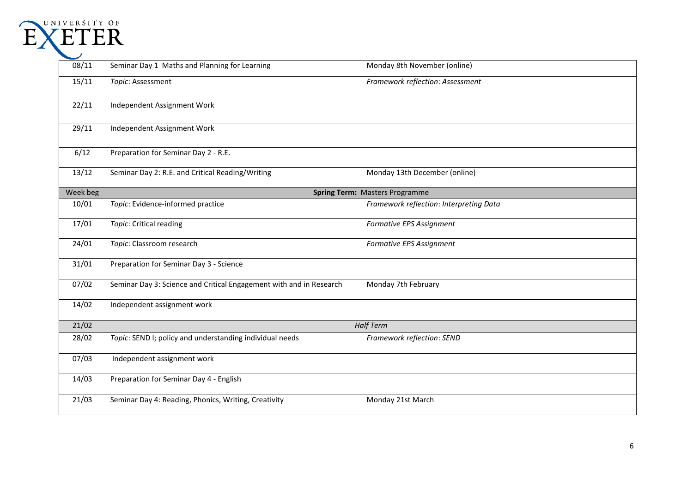

| 08/11    | Seminar Day 1 Maths and Planning for Learning                       | Monday 8th November (online)            |
|----------|---------------------------------------------------------------------|-----------------------------------------|
| 15/11    | Topic: Assessment                                                   | Framework reflection: Assessment        |
| 22/11    | Independent Assignment Work                                         |                                         |
| 29/11    | Independent Assignment Work                                         |                                         |
| 6/12     | Preparation for Seminar Day 2 - R.E.                                |                                         |
| 13/12    | Seminar Day 2: R.E. and Critical Reading/Writing                    | Monday 13th December (online)           |
| Week beg |                                                                     | <b>Spring Term: Masters Programme</b>   |
| 10/01    | Topic: Evidence-informed practice                                   | Framework reflection: Interpreting Data |
| 17/01    | Topic: Critical reading                                             | Formative EPS Assignment                |
| 24/01    | Topic: Classroom research                                           | Formative EPS Assignment                |
| 31/01    | Preparation for Seminar Day 3 - Science                             |                                         |
| 07/02    | Seminar Day 3: Science and Critical Engagement with and in Research | Monday 7th February                     |
| 14/02    | Independent assignment work                                         |                                         |
| 21/02    |                                                                     | <b>Half Term</b>                        |
| 28/02    | Topic: SEND I; policy and understanding individual needs            | Framework reflection: SEND              |
| 07/03    | Independent assignment work                                         |                                         |
| 14/03    | Preparation for Seminar Day 4 - English                             |                                         |
| 21/03    | Seminar Day 4: Reading, Phonics, Writing, Creativity                | Monday 21st March                       |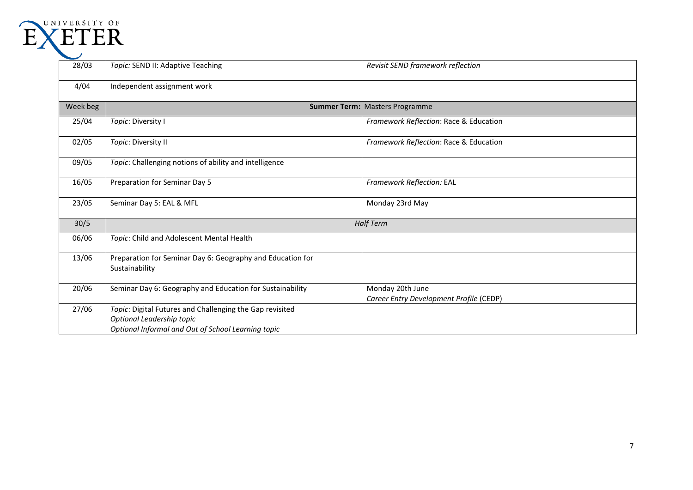| UNIVERSITY OF<br><b>ETER</b> |                                                                                                                                             |                                                             |
|------------------------------|---------------------------------------------------------------------------------------------------------------------------------------------|-------------------------------------------------------------|
| 28/03                        | Topic: SEND II: Adaptive Teaching                                                                                                           | Revisit SEND framework reflection                           |
| 4/04                         | Independent assignment work                                                                                                                 |                                                             |
| Week beg                     |                                                                                                                                             | <b>Summer Term: Masters Programme</b>                       |
| 25/04                        | Topic: Diversity I                                                                                                                          | Framework Reflection: Race & Education                      |
| 02/05                        | Topic: Diversity II                                                                                                                         | Framework Reflection: Race & Education                      |
| 09/05                        | Topic: Challenging notions of ability and intelligence                                                                                      |                                                             |
| 16/05                        | Preparation for Seminar Day 5                                                                                                               | Framework Reflection: EAL                                   |
| 23/05                        | Seminar Day 5: EAL & MFL                                                                                                                    | Monday 23rd May                                             |
| 30/5                         |                                                                                                                                             | <b>Half Term</b>                                            |
| 06/06                        | Topic: Child and Adolescent Mental Health                                                                                                   |                                                             |
| 13/06                        | Preparation for Seminar Day 6: Geography and Education for<br>Sustainability                                                                |                                                             |
| 20/06                        | Seminar Day 6: Geography and Education for Sustainability                                                                                   | Monday 20th June<br>Career Entry Development Profile (CEDP) |
| 27/06                        | Topic: Digital Futures and Challenging the Gap revisited<br>Optional Leadership topic<br>Optional Informal and Out of School Learning topic |                                                             |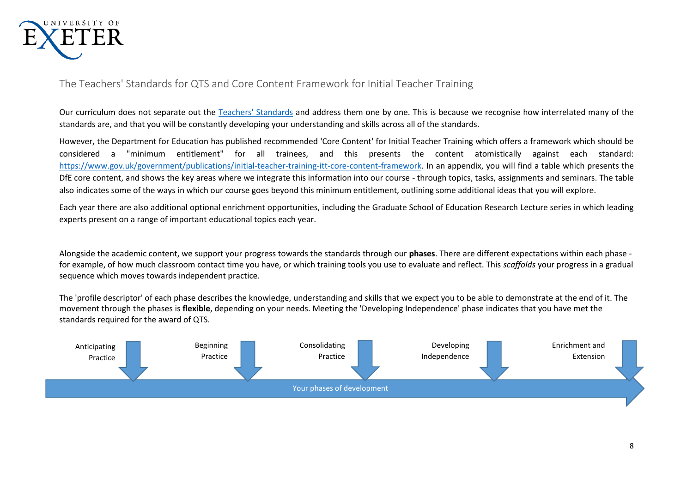

### The Teachers' Standards for QTS and Core Content Framework for Initial Teacher Training

Our curriculum does not separate out the [Teachers' Standards](https://www.gov.uk/government/publications/teachers-standards) and address them one by one. This is because we recognise how interrelated many of the standards are, and that you will be constantly developing your understanding and skills across all of the standards.

However, the Department for Education has published recommended 'Core Content' for Initial Teacher Training which offers a framework which should be considered a "minimum entitlement" for all trainees, and this presents the content atomistically against each standard: [https://www.gov.uk/government/publications/initial-teacher-training-itt-core-content-framework.](https://www.gov.uk/government/publications/initial-teacher-training-itt-core-content-framework) In an appendix, you will find a table which presents the DfE core content, and shows the key areas where we integrate this information into our course - through topics, tasks, assignments and seminars. The table also indicates some of the ways in which our course goes beyond this minimum entitlement, outlining some additional ideas that you will explore.

Each year there are also additional optional enrichment opportunities, including the Graduate School of Education Research Lecture series in which leading experts present on a range of important educational topics each year.

Alongside the academic content, we support your progress towards the standards through our **phases**. There are different expectations within each phase for example, of how much classroom contact time you have, or which training tools you use to evaluate and reflect. This *scaffolds* your progress in a gradual sequence which moves towards independent practice.

The 'profile descriptor' of each phase describes the knowledge, understanding and skills that we expect you to be able to demonstrate at the end of it. The movement through the phases is **flexible**, depending on your needs. Meeting the 'Developing Independence' phase indicates that you have met the standards required for the award of QTS.

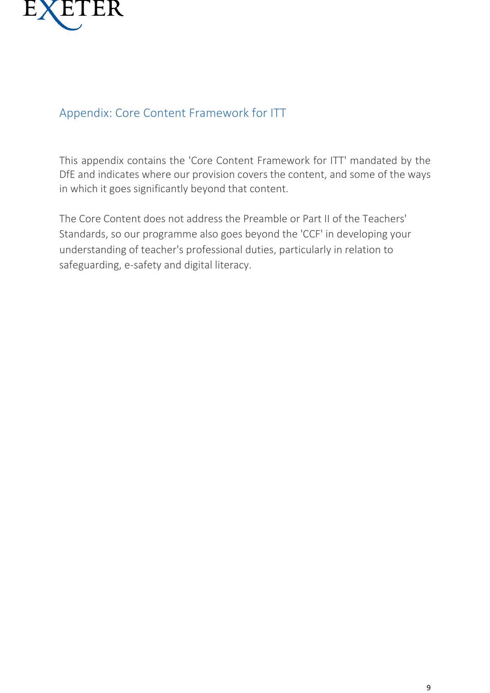

## Appendix: Core Content Framework for ITT

This appendix contains the 'Core Content Framework for ITT' mandated by the DfE and indicates where our provision covers the content, and some of the ways in which it goes significantly beyond that content.

The Core Content does not address the Preamble or Part II of the Teachers' Standards, so our programme also goes beyond the 'CCF' in developing your understanding of teacher's professional duties, particularly in relation to safeguarding, e-safety and digital literacy.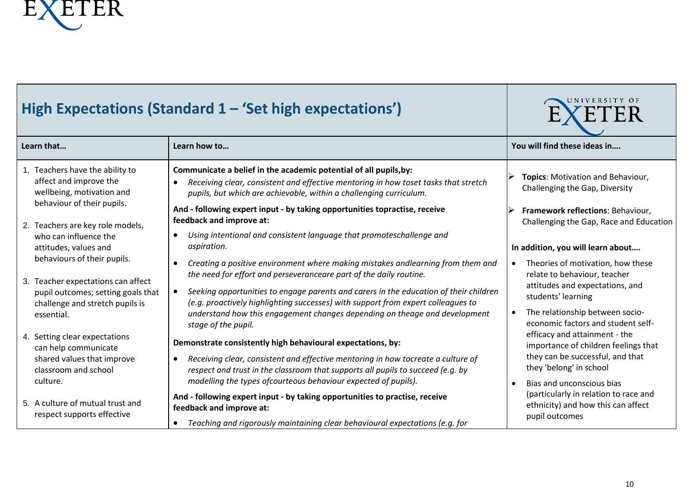

| High Expectations (Standard 1 - 'Set high expectations')                                                                                   |                                                                                                                                                                                                                                                                                                                                                 | UNIVERSITY OF<br>ΕR                                                                                                                     |
|--------------------------------------------------------------------------------------------------------------------------------------------|-------------------------------------------------------------------------------------------------------------------------------------------------------------------------------------------------------------------------------------------------------------------------------------------------------------------------------------------------|-----------------------------------------------------------------------------------------------------------------------------------------|
| Learn that                                                                                                                                 | Learn how to                                                                                                                                                                                                                                                                                                                                    | You will find these ideas in                                                                                                            |
| 1. Teachers have the ability to<br>affect and improve the<br>wellbeing, motivation and                                                     | Communicate a belief in the academic potential of all pupils, by:<br>Receiving clear, consistent and effective mentoring in how toset tasks that stretch<br>$\bullet$<br>pupils, but which are achievable, within a challenging curriculum.                                                                                                     | Topics: Motivation and Behaviour,<br>Challenging the Gap, Diversity                                                                     |
| behaviour of their pupils.<br>2. Teachers are key role models,                                                                             | And - following expert input - by taking opportunities topractise, receive<br>feedback and improve at:                                                                                                                                                                                                                                          | Framework reflections: Behaviour,<br>Challenging the Gap, Race and Education                                                            |
| who can influence the<br>attitudes, values and                                                                                             | Using intentional and consistent language that promoteschallenge and<br>aspiration.                                                                                                                                                                                                                                                             | In addition, you will learn about                                                                                                       |
| behaviours of their pupils.<br>3. Teacher expectations can affect<br>pupil outcomes; setting goals that<br>challenge and stretch pupils is | Creating a positive environment where making mistakes andlearning from them and<br>the need for effort and perseveranceare part of the daily routine.<br>Seeking opportunities to engage parents and carers in the education of their children<br>$\bullet$<br>(e.g. proactively highlighting successes) with support from expert colleagues to | Theories of motivation, how these<br>$\bullet$<br>relate to behaviour, teacher<br>attitudes and expectations, and<br>students' learning |
| essential.                                                                                                                                 | understand how this engagement changes depending on theage and development<br>stage of the pupil.                                                                                                                                                                                                                                               | The relationship between socio-<br>$\bullet$<br>economic factors and student self-                                                      |
| 4. Setting clear expectations<br>can help communicate                                                                                      | Demonstrate consistently high behavioural expectations, by:                                                                                                                                                                                                                                                                                     | efficacy and attainment - the<br>importance of children feelings that                                                                   |
| shared values that improve<br>classroom and school                                                                                         | Receiving clear, consistent and effective mentoring in how tocreate a culture of<br>$\bullet$<br>respect and trust in the classroom that supports all pupils to succeed (e.g. by                                                                                                                                                                | they can be successful, and that<br>they 'belong' in school                                                                             |
| culture.                                                                                                                                   | modelling the types of courteous behaviour expected of pupils).                                                                                                                                                                                                                                                                                 | Bias and unconscious bias<br>(particularly in relation to race and                                                                      |
| 5. A culture of mutual trust and<br>respect supports effective                                                                             | And - following expert input - by taking opportunities to practise, receive<br>feedback and improve at:                                                                                                                                                                                                                                         | ethnicity) and how this can affect                                                                                                      |
|                                                                                                                                            | Teaching and rigorously maintaining clear behavioural expectations (e.g. for<br>$\bullet$                                                                                                                                                                                                                                                       | pupil outcomes                                                                                                                          |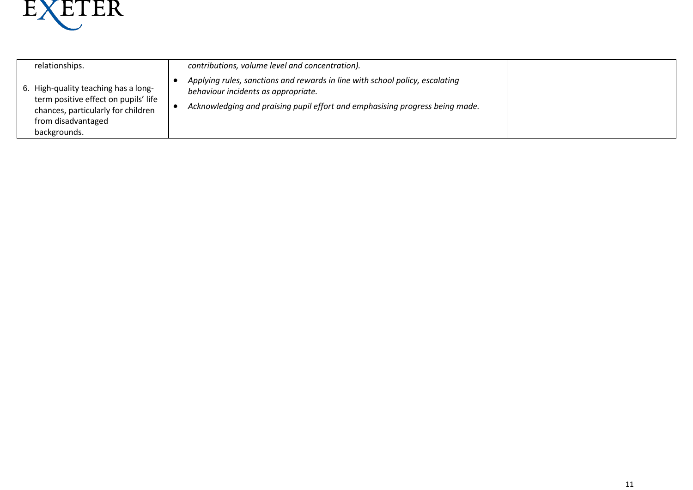

| relationships.                                                                                                                                           | contributions, volume level and concentration).                                                                                                                                                     |
|----------------------------------------------------------------------------------------------------------------------------------------------------------|-----------------------------------------------------------------------------------------------------------------------------------------------------------------------------------------------------|
| 6. High-quality teaching has a long-<br>term positive effect on pupils' life<br>chances, particularly for children<br>from disadvantaged<br>backgrounds. | Applying rules, sanctions and rewards in line with school policy, escalating<br>behaviour incidents as appropriate.<br>Acknowledging and praising pupil effort and emphasising progress being made. |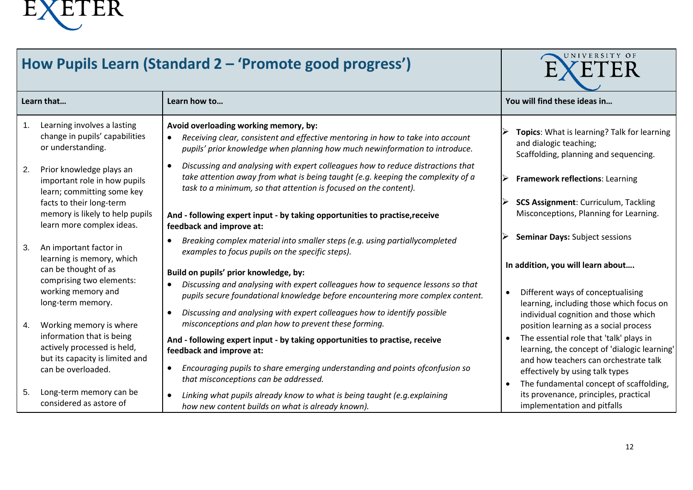

| How Pupils Learn (Standard 2 - 'Promote good progress') |                                                                                             |                                                                                                                                                                                                                                        | UNIVERSITY OF                                                                                                                    |
|---------------------------------------------------------|---------------------------------------------------------------------------------------------|----------------------------------------------------------------------------------------------------------------------------------------------------------------------------------------------------------------------------------------|----------------------------------------------------------------------------------------------------------------------------------|
|                                                         | Learn that                                                                                  | Learn how to                                                                                                                                                                                                                           | You will find these ideas in                                                                                                     |
| 1.                                                      | Learning involves a lasting<br>change in pupils' capabilities<br>or understanding.          | Avoid overloading working memory, by:<br>Receiving clear, consistent and effective mentoring in how to take into account<br>pupils' prior knowledge when planning how much newinformation to introduce.                                | Topics: What is learning? Talk for learning<br>and dialogic teaching;<br>Scaffolding, planning and sequencing.                   |
| 2.                                                      | Prior knowledge plays an<br>important role in how pupils<br>learn; committing some key      | Discussing and analysing with expert colleagues how to reduce distractions that<br>take attention away from what is being taught (e.g. keeping the complexity of a<br>task to a minimum, so that attention is focused on the content). | Framework reflections: Learning                                                                                                  |
|                                                         | facts to their long-term<br>memory is likely to help pupils<br>learn more complex ideas.    | And - following expert input - by taking opportunities to practise, receive<br>feedback and improve at:                                                                                                                                | <b>SCS Assignment: Curriculum, Tackling</b><br>Misconceptions, Planning for Learning.                                            |
| 3.                                                      | An important factor in<br>learning is memory, which                                         | Breaking complex material into smaller steps (e.g. using partiallycompleted<br>examples to focus pupils on the specific steps).                                                                                                        | <b>Seminar Days: Subject sessions</b>                                                                                            |
|                                                         | can be thought of as<br>comprising two elements:                                            | Build on pupils' prior knowledge, by:                                                                                                                                                                                                  | In addition, you will learn about                                                                                                |
|                                                         | working memory and<br>long-term memory.                                                     | Discussing and analysing with expert colleagues how to sequence lessons so that<br>pupils secure foundational knowledge before encountering more complex content.                                                                      | Different ways of conceptualising<br>$\bullet$<br>learning, including those which focus on                                       |
| 4.                                                      | Working memory is where                                                                     | Discussing and analysing with expert colleagues how to identify possible<br>$\bullet$<br>misconceptions and plan how to prevent these forming.                                                                                         | individual cognition and those which<br>position learning as a social process                                                    |
|                                                         | information that is being<br>actively processed is held,<br>but its capacity is limited and | And - following expert input - by taking opportunities to practise, receive<br>feedback and improve at:                                                                                                                                | The essential role that 'talk' plays in<br>learning, the concept of 'dialogic learning'<br>and how teachers can orchestrate talk |
|                                                         | can be overloaded.                                                                          | Encouraging pupils to share emerging understanding and points of confusion so<br>$\bullet$<br>that misconceptions can be addressed.                                                                                                    | effectively by using talk types<br>The fundamental concept of scaffolding,                                                       |
| 5.                                                      | Long-term memory can be<br>considered as astore of                                          | Linking what pupils already know to what is being taught (e.g. explaining<br>how new content builds on what is already known).                                                                                                         | its provenance, principles, practical<br>implementation and pitfalls                                                             |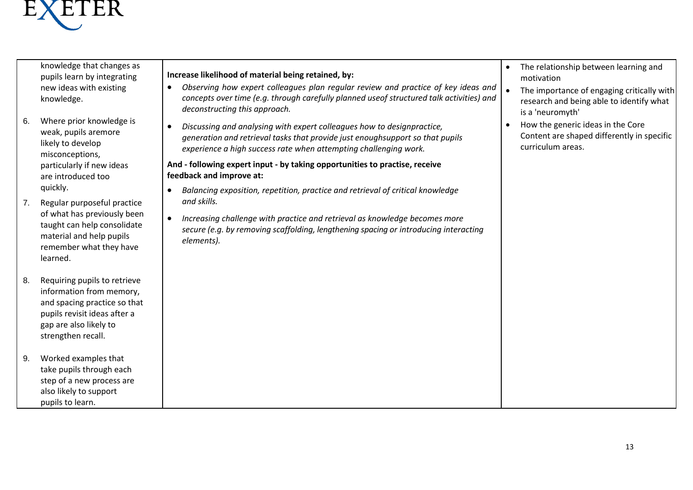

knowledge that changes as pupils learn by integrating new ideas with existing knowledge.

- 6. Where prior knowledge is weak, pupils aremore likely to develop misconceptions, particularly if new ideas are introduced too quickly.
- 7. Regular purposeful practice of what has previously been taught can help consolidate material and help pupils remember what they have learned.
- 8. Requiring pupils to retrieve information from memory, and spacing practice so that pupils revisit ideas after a gap are also likely to strengthen recall.
- 9. Worked examples that take pupils through each step of a new process are also likely to support pupils to learn.

#### **Increase likelihood of material being retained, by:**

- *Observing how expert colleagues plan regular review and practice of key ideas and concepts over time (e.g. through carefully planned useof structured talk activities) and deconstructing this approach.*
- *Discussing and analysing with expert colleagues how to designpractice, generation and retrieval tasks that provide just enoughsupport so that pupils experience a high success rate when attempting challenging work.*

**And - following expert input - by taking opportunities to practise, receive feedback and improve at:**

- *Balancing exposition, repetition, practice and retrieval of critical knowledge and skills.*
- *Increasing challenge with practice and retrieval as knowledge becomes more secure (e.g. by removing scaffolding, lengthening spacing or introducing interacting elements).*
- The relationship between learning and motivation
- The importance of engaging critically with research and being able to identify what is a 'neuromyth'
- How the generic ideas in the Core Content are shaped differently in specific curriculum areas.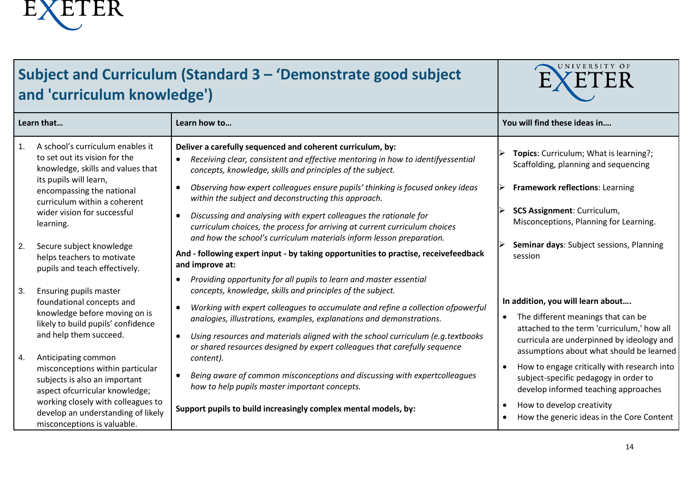

## **Subject and Curriculum (Standard 3 – 'Demonstrate good subject and 'curriculum knowledge')**



|    | Learn that                                                                                                                       | Learn how to                                                                                                                                                                                                                                                                                                                         | You will find these ideas in                                                                                                                                                                                   |
|----|----------------------------------------------------------------------------------------------------------------------------------|--------------------------------------------------------------------------------------------------------------------------------------------------------------------------------------------------------------------------------------------------------------------------------------------------------------------------------------|----------------------------------------------------------------------------------------------------------------------------------------------------------------------------------------------------------------|
| 1. | A school's curriculum enables it<br>to set out its vision for the<br>knowledge, skills and values that<br>its pupils will learn, | Deliver a carefully sequenced and coherent curriculum, by:<br>Receiving clear, consistent and effective mentoring in how to identifyessential<br>concepts, knowledge, skills and principles of the subject.                                                                                                                          | Topics: Curriculum; What is learning?;<br>Scaffolding, planning and sequencing                                                                                                                                 |
|    | encompassing the national<br>curriculum within a coherent                                                                        | Observing how expert colleagues ensure pupils' thinking is focused onkey ideas<br>$\bullet$<br>within the subject and deconstructing this approach.                                                                                                                                                                                  | Framework reflections: Learning                                                                                                                                                                                |
|    | wider vision for successful<br>learning.                                                                                         | Discussing and analysing with expert colleagues the rationale for<br>curriculum choices, the process for arriving at current curriculum choices<br>and how the school's curriculum materials inform lesson preparation.                                                                                                              | <b>SCS Assignment: Curriculum,</b><br>Misconceptions, Planning for Learning.                                                                                                                                   |
| 2. | Secure subject knowledge<br>helps teachers to motivate<br>pupils and teach effectively.                                          | And - following expert input - by taking opportunities to practise, receivefeedback<br>and improve at:                                                                                                                                                                                                                               | Seminar days: Subject sessions, Planning<br>session                                                                                                                                                            |
| 3. | Ensuring pupils master                                                                                                           | Providing opportunity for all pupils to learn and master essential<br>concepts, knowledge, skills and principles of the subject.                                                                                                                                                                                                     |                                                                                                                                                                                                                |
|    | foundational concepts and<br>knowledge before moving on is<br>likely to build pupils' confidence<br>and help them succeed.       | Working with expert colleagues to accumulate and refine a collection ofpowerful<br>analogies, illustrations, examples, explanations and demonstrations.<br>Using resources and materials aligned with the school curriculum (e.g.textbooks<br>$\bullet$<br>or shared resources designed by expert colleagues that carefully sequence | In addition, you will learn about<br>The different meanings that can be<br>attached to the term 'curriculum,' how all<br>curricula are underpinned by ideology and<br>assumptions about what should be learned |
| 4. | Anticipating common<br>misconceptions within particular<br>subjects is also an important<br>aspect ofcurricular knowledge;       | content).<br>Being aware of common misconceptions and discussing with expertcolleagues<br>how to help pupils master important concepts.                                                                                                                                                                                              | How to engage critically with research into<br>subject-specific pedagogy in order to<br>develop informed teaching approaches                                                                                   |
|    | working closely with colleagues to<br>develop an understanding of likely<br>misconceptions is valuable.                          | Support pupils to build increasingly complex mental models, by:                                                                                                                                                                                                                                                                      | How to develop creativity<br>How the generic ideas in the Core Content                                                                                                                                         |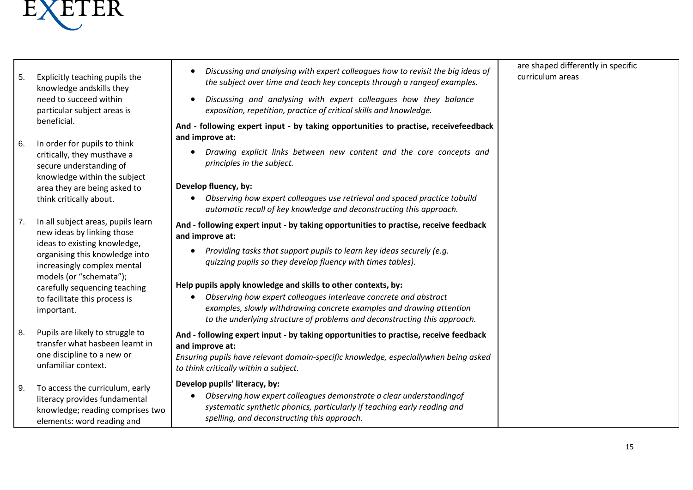

- 5. Explicitly teaching pupils the knowledge andskills they need to succeed within particular subject areas is beneficial.
- 6. In order for pupils to think critically, they musthave a secure understanding of knowledge within the subject area they are being asked to think critically about.
- 7. In all subject areas, pupils learn new ideas by linking those ideas to existing knowledge, organising this knowledge into increasingly complex mental models (or "schemata"); carefully sequencing teaching to facilitate this process is important.
- 8. Pupils are likely to struggle to transfer what hasbeen learnt in one discipline to a new or unfamiliar context.
- 9. To access the curriculum, early literacy provides fundamental knowledge; reading comprises two elements: word reading and
- *Discussing and analysing with expert colleagues how to revisit the big ideas of the subject over time and teach key concepts through a rangeof examples.*
- *Discussing and analysing with expert colleagues how they balance exposition, repetition, practice of critical skills and knowledge.*

#### **And - following expert input - by taking opportunities to practise, receivefeedback and improve at:**

 *Drawing explicit links between new content and the core concepts and principles in the subject.*

#### **Develop fluency, by:**

 *Observing how expert colleagues use retrieval and spaced practice to build automatic recall of key knowledge and deconstructing this approach.*

#### **And - following expert input - by taking opportunities to practise, receive feedback and improve at:**

 *Providing tasks that support pupils to learn key ideas securely (e.g. quizzing pupils so they develop fluency with times tables).*

#### **Help pupils apply knowledge and skills to other contexts, by:**

 *Observing how expert colleagues interleave concrete and abstract examples, slowly withdrawing concrete examples and drawing attention to the underlying structure of problems and deconstructing this approach.*

#### **And - following expert input - by taking opportunities to practise, receive feedback and improve at:**

#### *Ensuring pupils have relevant domain-specific knowledge, especially when being asked to think critically within a subject.*

#### **Develop pupils' literacy, by:**

 *Observing how expert colleagues demonstrate a clear understandingof systematic synthetic phonics, particularly if teaching early reading and spelling, and deconstructing this approach.*

are shaped differently in specific curriculum areas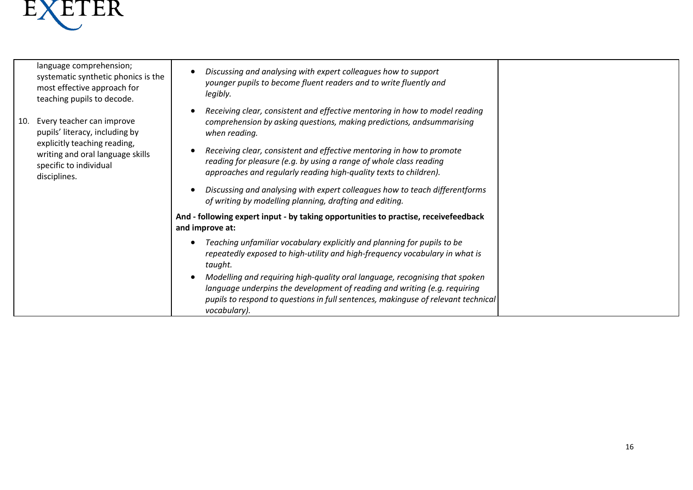

language comprehension; systematic synthetic phonics is the most effective approach for teaching pupils to decode.

- 10. Every teacher can improve pupils' literacy, including by explicitly teaching reading, writing and oral language skills specific to individual disciplines.
- *Discussing and analysing with expert colleagues how to support younger pupils to become fluent readers and to write fluently and legibly.*
- *Receiving clear, consistent and effective mentoring in how to model reading comprehension by asking questions, making predictions, and summarising when reading.*
- *Receiving clear, consistent and effective mentoring in how to promote reading for pleasure (e.g. by using a range of whole class reading approaches and regularly reading high-quality texts to children).*
- *Discussing and analysing with expert colleagues how to teach differentforms of writing by modelling planning, drafting and editing.*

#### **And - following expert input - by taking opportunities to practise, receivefeedback and improve at:**

- *Teaching unfamiliar vocabulary explicitly and planning for pupils to be repeatedly exposed to high-utility and high-frequency vocabulary in what is taught.*
- *Modelling and requiring high-quality oral language, recognising that spoken language underpins the development of reading and writing (e.g. requiring pupils to respond to questions in full sentences, makinguse of relevant technical vocabulary).*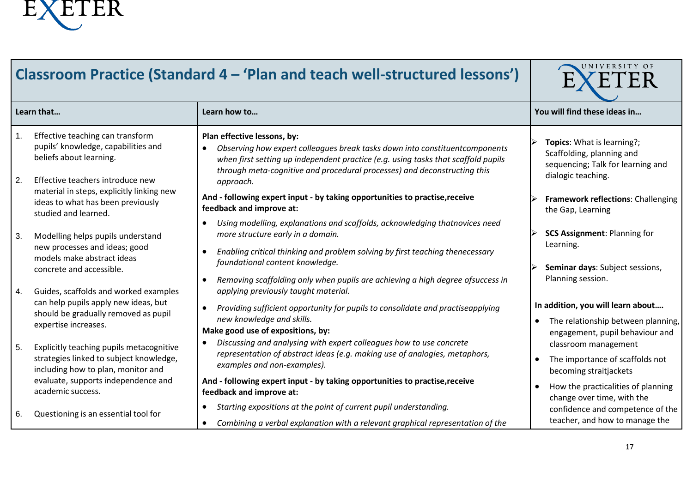

| Classroom Practice (Standard 4 - 'Plan and teach well-structured lessons') |                                                                                                                                                                                       |                                                                                                                                                                                                                                                                                                                                                                                       | UNIVERSITY OF<br>`ER                                                                                                    |  |
|----------------------------------------------------------------------------|---------------------------------------------------------------------------------------------------------------------------------------------------------------------------------------|---------------------------------------------------------------------------------------------------------------------------------------------------------------------------------------------------------------------------------------------------------------------------------------------------------------------------------------------------------------------------------------|-------------------------------------------------------------------------------------------------------------------------|--|
|                                                                            | Learn that                                                                                                                                                                            | Learn how to                                                                                                                                                                                                                                                                                                                                                                          | You will find these ideas in                                                                                            |  |
| 1.<br>2.                                                                   | Effective teaching can transform<br>pupils' knowledge, capabilities and<br>beliefs about learning.<br>Effective teachers introduce new<br>material in steps, explicitly linking new   | Plan effective lessons, by:<br>Observing how expert colleagues break tasks down into constituent components<br>$\bullet$<br>when first setting up independent practice (e.g. using tasks that scaffold pupils<br>through meta-cognitive and procedural processes) and deconstructing this<br>approach.<br>And - following expert input - by taking opportunities to practise, receive | Topics: What is learning?;<br>Scaffolding, planning and<br>sequencing; Talk for learning and<br>dialogic teaching.      |  |
|                                                                            | ideas to what has been previously<br>studied and learned.                                                                                                                             | feedback and improve at:                                                                                                                                                                                                                                                                                                                                                              | Framework reflections: Challenging<br>the Gap, Learning                                                                 |  |
| 3.                                                                         | Modelling helps pupils understand<br>new processes and ideas; good<br>models make abstract ideas<br>concrete and accessible.                                                          | Using modelling, explanations and scaffolds, acknowledging thatnovices need<br>more structure early in a domain.<br>Enabling critical thinking and problem solving by first teaching thenecessary<br>foundational content knowledge.<br>Removing scaffolding only when pupils are achieving a high degree ofsuccess in<br>$\bullet$                                                   | <b>SCS Assignment: Planning for</b><br>Learning.<br>Seminar days: Subject sessions,<br>Planning session.                |  |
| 4.                                                                         | Guides, scaffolds and worked examples<br>can help pupils apply new ideas, but<br>should be gradually removed as pupil<br>expertise increases.                                         | applying previously taught material.<br>Providing sufficient opportunity for pupils to consolidate and practiseapplying<br>new knowledge and skills.<br>Make good use of expositions, by:                                                                                                                                                                                             | In addition, you will learn about<br>The relationship between planning,<br>engagement, pupil behaviour and              |  |
| 5.                                                                         | Explicitly teaching pupils metacognitive<br>strategies linked to subject knowledge,<br>including how to plan, monitor and<br>evaluate, supports independence and<br>academic success. | Discussing and analysing with expert colleagues how to use concrete<br>representation of abstract ideas (e.g. making use of analogies, metaphors,<br>examples and non-examples).<br>And - following expert input - by taking opportunities to practise, receive<br>feedback and improve at:                                                                                           | classroom management<br>The importance of scaffolds not<br>becoming straitjackets<br>How the practicalities of planning |  |
| 6.                                                                         | Questioning is an essential tool for                                                                                                                                                  | Starting expositions at the point of current pupil understanding.<br>$\bullet$<br>Combining a verbal explanation with a relevant graphical representation of the                                                                                                                                                                                                                      | change over time, with the<br>confidence and competence of the<br>teacher, and how to manage the                        |  |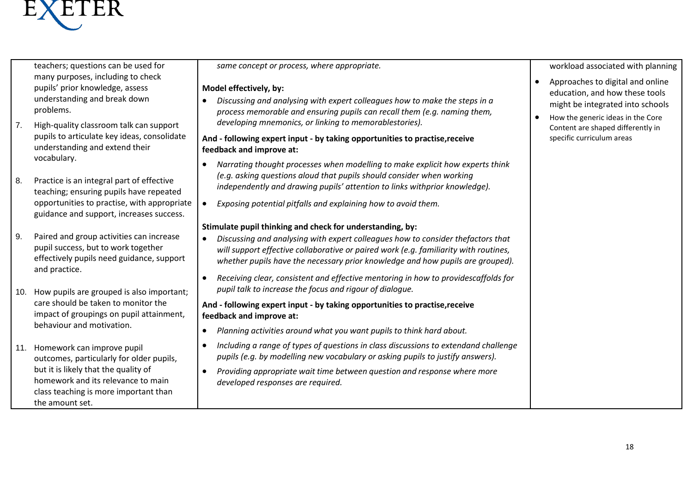

teachers; questions can be used for many purposes, including to check pupils' prior knowledge, assess understanding and break down problems.

- 7. High-quality classroom talk can support pupils to articulate key ideas, consolidate understanding and extend their vocabulary.
- 8. Practice is an integral part of effective teaching; ensuring pupils have repeated opportunities to practise, with appropriate guidance and support, increases success.
- 9. Paired and group activities can increase pupil success, but to work together effectively pupils need guidance, support and practice.
- 10. How pupils are grouped is also important; care should be taken to monitor the impact of groupings on pupil attainment, behaviour and motivation.
- 11. Homework can improve pupil outcomes, particularly for older pupils, but it is likely that the quality of homework and its relevance to main class teaching is more important than the amount set.

*same concept or process, where appropriate.*

#### **Model effectively, by:**

 *Discussing and analysing with expert colleagues how to make the steps in a process memorable and ensuring pupils can recall them (e.g. naming them, developing mnemonics, or linking to memorablestories).*

#### **And - following expert input - by taking opportunities to practise,receive feedback and improve at:**

- *Narrating thought processes when modelling to make explicit how experts think (e.g. asking questions aloud that pupils should consider when working independently and drawing pupils' attention to links withprior knowledge).*
- *Exposing potential pitfalls and explaining how to avoid them.*

#### **Stimulate pupil thinking and check for understanding, by:**

- *Discussing and analysing with expert colleagues how to consider thefactors that will support effective collaborative or paired work (e.g. familiarity with routines, whether pupils have the necessary prior knowledge and how pupils are grouped).*
- *Receiving clear, consistent and effective mentoring in how to providescaffolds for pupil talk to increase the focus and rigour of dialogue.*

#### **And - following expert input - by taking opportunities to practise,receive feedback and improve at:**

- *Planning activities around what you want pupils to think hard about.*
- *Including a range of types of questions in class discussions to extendand challenge pupils (e.g. by modelling new vocabulary or asking pupils to justify answers).*
- *Providing appropriate wait time between question and response where more developed responses are required.*

workload associated with planning

- Approaches to digital and online education, and how these tools might be integrated into schools
- How the generic ideas in the Core Content are shaped differently in specific curriculum areas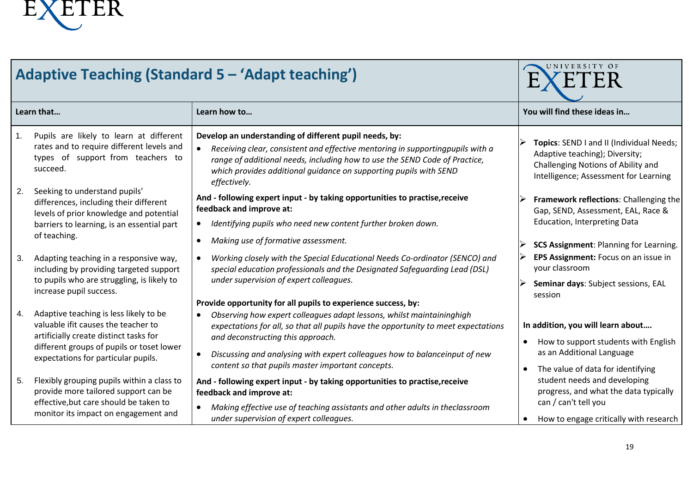

| <b>Adaptive Teaching (Standard 5 - 'Adapt teaching')</b>                                                                                                                                                           |                                                                                                                                                                                                                                                                                                                                                                                                      | UNIVERSITY OF<br>ER                                                                                                                                                  |
|--------------------------------------------------------------------------------------------------------------------------------------------------------------------------------------------------------------------|------------------------------------------------------------------------------------------------------------------------------------------------------------------------------------------------------------------------------------------------------------------------------------------------------------------------------------------------------------------------------------------------------|----------------------------------------------------------------------------------------------------------------------------------------------------------------------|
| Learn that                                                                                                                                                                                                         | Learn how to                                                                                                                                                                                                                                                                                                                                                                                         | You will find these ideas in                                                                                                                                         |
| Pupils are likely to learn at different<br>1.<br>rates and to require different levels and<br>types of support from teachers to<br>succeed.                                                                        | Develop an understanding of different pupil needs, by:<br>Receiving clear, consistent and effective mentoring in supportingpupils with a<br>range of additional needs, including how to use the SEND Code of Practice,<br>which provides additional guidance on supporting pupils with SEND<br>effectively.                                                                                          | Topics: SEND I and II (Individual Needs;<br>Adaptive teaching); Diversity;<br>Challenging Notions of Ability and<br>Intelligence; Assessment for Learning            |
| Seeking to understand pupils'<br>2.<br>differences, including their different<br>levels of prior knowledge and potential<br>barriers to learning, is an essential part<br>of teaching.                             | And - following expert input - by taking opportunities to practise, receive<br>feedback and improve at:<br>Identifying pupils who need new content further broken down.<br>Making use of formative assessment.                                                                                                                                                                                       | Framework reflections: Challenging the<br>Gap, SEND, Assessment, EAL, Race &<br><b>Education, Interpreting Data</b><br><b>SCS Assignment: Planning for Learning.</b> |
| Adapting teaching in a responsive way,<br>3.<br>including by providing targeted support<br>to pupils who are struggling, is likely to<br>increase pupil success.                                                   | Working closely with the Special Educational Needs Co-ordinator (SENCO) and<br>special education professionals and the Designated Safeguarding Lead (DSL)<br>under supervision of expert colleagues.                                                                                                                                                                                                 | EPS Assignment: Focus on an issue in<br>your classroom<br>Seminar days: Subject sessions, EAL<br>session                                                             |
| Adaptive teaching is less likely to be<br>4.<br>valuable if it causes the teacher to<br>artificially create distinct tasks for<br>different groups of pupils or toset lower<br>expectations for particular pupils. | Provide opportunity for all pupils to experience success, by:<br>Observing how expert colleagues adapt lessons, whilst maintaininghigh<br>expectations for all, so that all pupils have the opportunity to meet expectations<br>and deconstructing this approach.<br>Discussing and analysing with expert colleagues how to balanceinput of new<br>content so that pupils master important concepts. | In addition, you will learn about<br>How to support students with English<br>as an Additional Language<br>The value of data for identifying                          |
| Flexibly grouping pupils within a class to<br>5.<br>provide more tailored support can be<br>effective, but care should be taken to<br>monitor its impact on engagement and                                         | And - following expert input - by taking opportunities to practise, receive<br>feedback and improve at:<br>Making effective use of teaching assistants and other adults in theclassroom<br>under supervision of expert colleagues.                                                                                                                                                                   | student needs and developing<br>progress, and what the data typically<br>can / can't tell you<br>How to engage critically with research                              |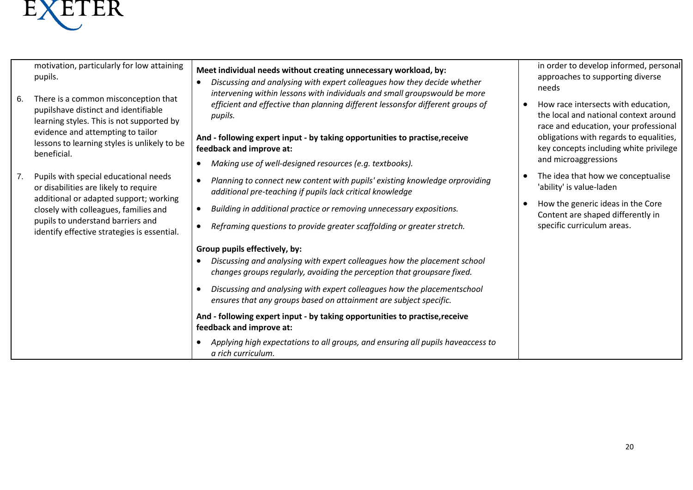

motivation, particularly for low attaining pupils.

- 6. There is a common misconception that pupilshave distinct and identifiable learning styles. This is not supported by evidence and attempting to tailor lessons to learning styles is unlikely to be beneficial.
- 7. Pupils with special educational needs or disabilities are likely to require additional or adapted support; working closely with colleagues, families and pupils to understand barriers and identify effective strategies is essential.

#### **Meet individual needs without creating unnecessary workload, by:**

 *Discussing and analysing with expert colleagues how they decide whether intervening within lessons with individuals and small groupswould be more efficient and effective than planning different lessonsfor different groups of pupils.*

#### **And - following expert input - by taking opportunities to practise,receive feedback and improve at:**

- *Making use of well-designed resources (e.g. textbooks).*
- *Planning to connect new content with pupils' existing knowledge orproviding additional pre-teaching if pupils lack critical knowledge*
- *Building in additional practice or removing unnecessary expositions.*
- *Reframing questions to provide greater scaffolding or greater stretch.*

#### **Group pupils effectively, by:**

- *Discussing and analysing with expert colleagues how the placement school changes groups regularly, avoiding the perception that groupsare fixed.*
- *Discussing and analysing with expert colleagues how the placementschool ensures that any groups based on attainment are subject specific.*

**And - following expert input - by taking opportunities to practise, receive feedback and improve at:**

 *Applying high expectations to all groups, and ensuring all pupils haveaccess to a rich curriculum.*

in order to develop informed, personal approaches to supporting diverse needs

- How race intersects with education. the local and national context around race and education, your professional obligations with regards to equalities, key concepts including white privilege and microaggressions
- The idea that how we conceptualise 'ability' is value-laden
- How the generic ideas in the Core Content are shaped differently in specific curriculum areas.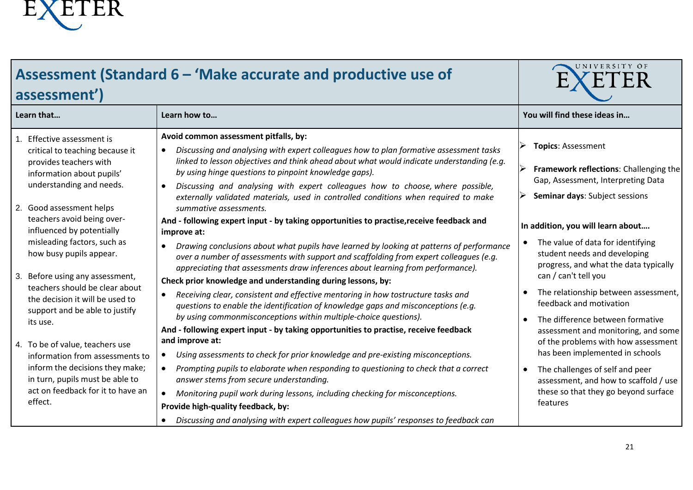

| Assessment (Standard 6 - 'Make accurate and productive use of<br>assessment')                                                                                                                                                                                                                                                                                                                                                                                                                                                                                                                                                                       | UNIVERSITY OF                                                                                                                                                                                                                                                                                                                                                                                                                                                                                                                                                                                                                                                                                                                                                                                                                                                                                                                                                                                                                                                                                                                                                                                                                                                                                                                                                                                                                                                                                                                                                                                                                                                                                                                                         |                                                                                                                                                                                                                                                                                                                                                                                                                                                                                                                                                                                                                                                                                |
|-----------------------------------------------------------------------------------------------------------------------------------------------------------------------------------------------------------------------------------------------------------------------------------------------------------------------------------------------------------------------------------------------------------------------------------------------------------------------------------------------------------------------------------------------------------------------------------------------------------------------------------------------------|-------------------------------------------------------------------------------------------------------------------------------------------------------------------------------------------------------------------------------------------------------------------------------------------------------------------------------------------------------------------------------------------------------------------------------------------------------------------------------------------------------------------------------------------------------------------------------------------------------------------------------------------------------------------------------------------------------------------------------------------------------------------------------------------------------------------------------------------------------------------------------------------------------------------------------------------------------------------------------------------------------------------------------------------------------------------------------------------------------------------------------------------------------------------------------------------------------------------------------------------------------------------------------------------------------------------------------------------------------------------------------------------------------------------------------------------------------------------------------------------------------------------------------------------------------------------------------------------------------------------------------------------------------------------------------------------------------------------------------------------------------|--------------------------------------------------------------------------------------------------------------------------------------------------------------------------------------------------------------------------------------------------------------------------------------------------------------------------------------------------------------------------------------------------------------------------------------------------------------------------------------------------------------------------------------------------------------------------------------------------------------------------------------------------------------------------------|
| Learn that                                                                                                                                                                                                                                                                                                                                                                                                                                                                                                                                                                                                                                          | Learn how to                                                                                                                                                                                                                                                                                                                                                                                                                                                                                                                                                                                                                                                                                                                                                                                                                                                                                                                                                                                                                                                                                                                                                                                                                                                                                                                                                                                                                                                                                                                                                                                                                                                                                                                                          | You will find these ideas in                                                                                                                                                                                                                                                                                                                                                                                                                                                                                                                                                                                                                                                   |
| 1. Effective assessment is<br>critical to teaching because it<br>provides teachers with<br>information about pupils'<br>understanding and needs.<br>2. Good assessment helps<br>teachers avoid being over-<br>influenced by potentially<br>misleading factors, such as<br>how busy pupils appear.<br>3. Before using any assessment,<br>teachers should be clear about<br>the decision it will be used to<br>support and be able to justify<br>its use.<br>4. To be of value, teachers use<br>information from assessments to<br>inform the decisions they make;<br>in turn, pupils must be able to<br>act on feedback for it to have an<br>effect. | Avoid common assessment pitfalls, by:<br>Discussing and analysing with expert colleagues how to plan formative assessment tasks<br>linked to lesson objectives and think ahead about what would indicate understanding (e.g.<br>by using hinge questions to pinpoint knowledge gaps).<br>Discussing and analysing with expert colleagues how to choose, where possible,<br>$\bullet$<br>externally validated materials, used in controlled conditions when required to make<br>summative assessments.<br>And - following expert input - by taking opportunities to practise, receive feedback and<br>improve at:<br>Drawing conclusions about what pupils have learned by looking at patterns of performance<br>over a number of assessments with support and scaffolding from expert colleagues (e.g.<br>appreciating that assessments draw inferences about learning from performance).<br>Check prior knowledge and understanding during lessons, by:<br>Receiving clear, consistent and effective mentoring in how tostructure tasks and<br>questions to enable the identification of knowledge gaps and misconceptions (e.g.<br>by using commonmisconceptions within multiple-choice questions).<br>And - following expert input - by taking opportunities to practise, receive feedback<br>and improve at:<br>Using assessments to check for prior knowledge and pre-existing misconceptions.<br>Prompting pupils to elaborate when responding to questioning to check that a correct<br>answer stems from secure understanding.<br>Monitoring pupil work during lessons, including checking for misconceptions.<br>Provide high-quality feedback, by:<br>Discussing and analysing with expert colleagues how pupils' responses to feedback can | <b>Topics: Assessment</b><br>Framework reflections: Challenging the<br>Gap, Assessment, Interpreting Data<br>Seminar days: Subject sessions<br>In addition, you will learn about<br>The value of data for identifying<br>student needs and developing<br>progress, and what the data typically<br>can / can't tell you<br>The relationship between assessment,<br>feedback and motivation<br>The difference between formative<br>assessment and monitoring, and some<br>of the problems with how assessment<br>has been implemented in schools<br>The challenges of self and peer<br>assessment, and how to scaffold / use<br>these so that they go beyond surface<br>features |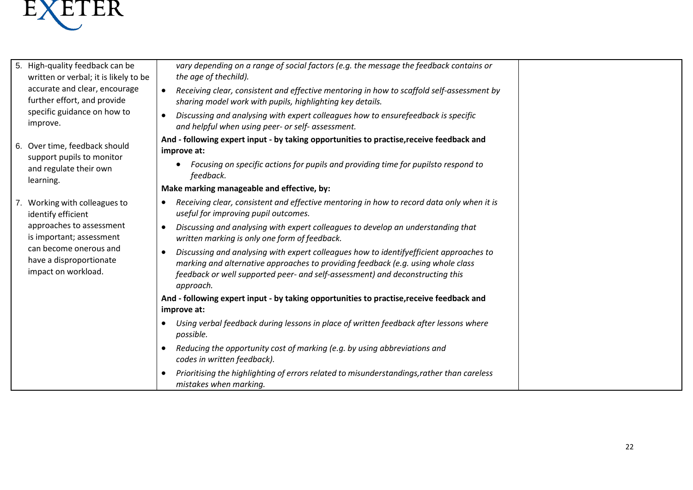

| 5. | High-quality feedback can be<br>written or verbal; it is likely to be<br>accurate and clear, encourage<br>further effort, and provide<br>specific guidance on how to<br>improve.        | vary depending on a range of social factors (e.g. the message the feedback contains or<br>the age of thechild).                                                                                                                                                                       |  |
|----|-----------------------------------------------------------------------------------------------------------------------------------------------------------------------------------------|---------------------------------------------------------------------------------------------------------------------------------------------------------------------------------------------------------------------------------------------------------------------------------------|--|
|    |                                                                                                                                                                                         | Receiving clear, consistent and effective mentoring in how to scaffold self-assessment by<br>$\bullet$<br>sharing model work with pupils, highlighting key details.                                                                                                                   |  |
|    |                                                                                                                                                                                         | Discussing and analysing with expert colleagues how to ensurefeedback is specific<br>$\bullet$<br>and helpful when using peer- or self- assessment.                                                                                                                                   |  |
|    | 6. Over time, feedback should<br>support pupils to monitor<br>and regulate their own<br>learning.                                                                                       | And - following expert input - by taking opportunities to practise, receive feedback and<br>improve at:                                                                                                                                                                               |  |
|    |                                                                                                                                                                                         | Focusing on specific actions for pupils and providing time for pupilsto respond to<br>feedback.                                                                                                                                                                                       |  |
|    |                                                                                                                                                                                         | Make marking manageable and effective, by:                                                                                                                                                                                                                                            |  |
|    | 7. Working with colleagues to<br>identify efficient<br>approaches to assessment<br>is important; assessment<br>can become onerous and<br>have a disproportionate<br>impact on workload. | Receiving clear, consistent and effective mentoring in how to record data only when it is<br>$\bullet$<br>useful for improving pupil outcomes.                                                                                                                                        |  |
|    |                                                                                                                                                                                         | Discussing and analysing with expert colleagues to develop an understanding that<br>$\bullet$<br>written marking is only one form of feedback.                                                                                                                                        |  |
|    |                                                                                                                                                                                         | Discussing and analysing with expert colleagues how to identifyefficient approaches to<br>$\bullet$<br>marking and alternative approaches to providing feedback (e.g. using whole class<br>feedback or well supported peer- and self-assessment) and deconstructing this<br>approach. |  |
|    |                                                                                                                                                                                         | And - following expert input - by taking opportunities to practise, receive feedback and<br>improve at:                                                                                                                                                                               |  |
|    |                                                                                                                                                                                         | Using verbal feedback during lessons in place of written feedback after lessons where<br>possible.                                                                                                                                                                                    |  |
|    |                                                                                                                                                                                         | Reducing the opportunity cost of marking (e.g. by using abbreviations and<br>codes in written feedback).                                                                                                                                                                              |  |
|    |                                                                                                                                                                                         | Prioritising the highlighting of errors related to misunderstandings, rather than careless<br>mistakes when marking.                                                                                                                                                                  |  |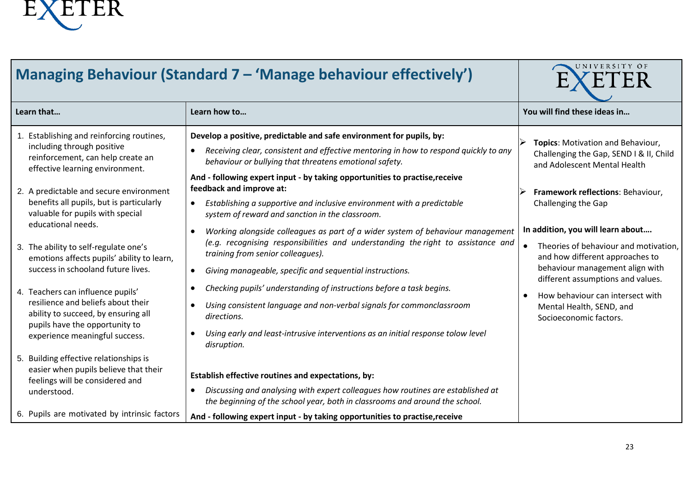

| Managing Behaviour (Standard 7 - 'Manage behaviour effectively')                                                                                                                                                                                                                                                                                                                                                                                                                                                                                                                                                    | UNIVERSITY OF                                                                                                                                                                                                                                                                                                                                                                                                                                                                                                                                                                                                                                                                                                                                                                                                                                                                                                                                                                                                                                               |                                                                                                                                                                                                                                                                                                                                                                                                                                                             |
|---------------------------------------------------------------------------------------------------------------------------------------------------------------------------------------------------------------------------------------------------------------------------------------------------------------------------------------------------------------------------------------------------------------------------------------------------------------------------------------------------------------------------------------------------------------------------------------------------------------------|-------------------------------------------------------------------------------------------------------------------------------------------------------------------------------------------------------------------------------------------------------------------------------------------------------------------------------------------------------------------------------------------------------------------------------------------------------------------------------------------------------------------------------------------------------------------------------------------------------------------------------------------------------------------------------------------------------------------------------------------------------------------------------------------------------------------------------------------------------------------------------------------------------------------------------------------------------------------------------------------------------------------------------------------------------------|-------------------------------------------------------------------------------------------------------------------------------------------------------------------------------------------------------------------------------------------------------------------------------------------------------------------------------------------------------------------------------------------------------------------------------------------------------------|
| Learn that                                                                                                                                                                                                                                                                                                                                                                                                                                                                                                                                                                                                          | Learn how to                                                                                                                                                                                                                                                                                                                                                                                                                                                                                                                                                                                                                                                                                                                                                                                                                                                                                                                                                                                                                                                | You will find these ideas in                                                                                                                                                                                                                                                                                                                                                                                                                                |
| 1. Establishing and reinforcing routines,<br>including through positive<br>reinforcement, can help create an<br>effective learning environment.<br>2. A predictable and secure environment<br>benefits all pupils, but is particularly<br>valuable for pupils with special<br>educational needs.<br>3. The ability to self-regulate one's<br>emotions affects pupils' ability to learn,<br>success in schooland future lives.<br>4. Teachers can influence pupils'<br>resilience and beliefs about their<br>ability to succeed, by ensuring all<br>pupils have the opportunity to<br>experience meaningful success. | Develop a positive, predictable and safe environment for pupils, by:<br>Receiving clear, consistent and effective mentoring in how to respond quickly to any<br>$\bullet$<br>behaviour or bullying that threatens emotional safety.<br>And - following expert input - by taking opportunities to practise, receive<br>feedback and improve at:<br>Establishing a supportive and inclusive environment with a predictable<br>system of reward and sanction in the classroom.<br>Working alongside colleagues as part of a wider system of behaviour management<br>$\bullet$<br>(e.g. recognising responsibilities and understanding the right to assistance and<br>training from senior colleagues).<br>Giving manageable, specific and sequential instructions.<br>$\bullet$<br>Checking pupils' understanding of instructions before a task begins.<br>$\bullet$<br>Using consistent language and non-verbal signals for commonclassroom<br>directions.<br>Using early and least-intrusive interventions as an initial response tolow level<br>disruption. | Topics: Motivation and Behaviour,<br>Challenging the Gap, SEND I & II, Child<br>and Adolescent Mental Health<br>Framework reflections: Behaviour,<br>Challenging the Gap<br>In addition, you will learn about<br>Theories of behaviour and motivation,<br>and how different approaches to<br>behaviour management align with<br>different assumptions and values.<br>How behaviour can intersect with<br>Mental Health, SEND, and<br>Socioeconomic factors. |
| 5. Building effective relationships is<br>easier when pupils believe that their<br>feelings will be considered and<br>understood.                                                                                                                                                                                                                                                                                                                                                                                                                                                                                   | Establish effective routines and expectations, by:<br>Discussing and analysing with expert colleagues how routines are established at<br>$\bullet$<br>the beginning of the school year, both in classrooms and around the school.                                                                                                                                                                                                                                                                                                                                                                                                                                                                                                                                                                                                                                                                                                                                                                                                                           |                                                                                                                                                                                                                                                                                                                                                                                                                                                             |
| 6. Pupils are motivated by intrinsic factors                                                                                                                                                                                                                                                                                                                                                                                                                                                                                                                                                                        | And - following expert input - by taking opportunities to practise, receive                                                                                                                                                                                                                                                                                                                                                                                                                                                                                                                                                                                                                                                                                                                                                                                                                                                                                                                                                                                 |                                                                                                                                                                                                                                                                                                                                                                                                                                                             |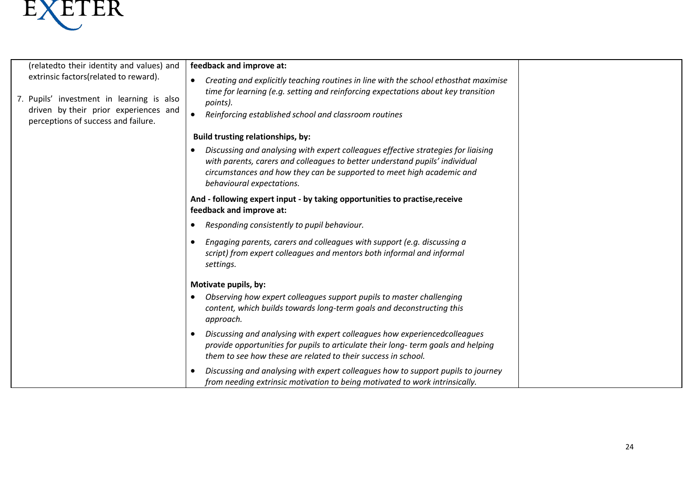

 $\mathbf{L}$ 

| (relatedto their identity and values) and                                                                                                                          | feedback and improve at:                                                                                                                                                                                                                                                            |
|--------------------------------------------------------------------------------------------------------------------------------------------------------------------|-------------------------------------------------------------------------------------------------------------------------------------------------------------------------------------------------------------------------------------------------------------------------------------|
| extrinsic factors(related to reward).<br>7. Pupils' investment in learning is also<br>driven by their prior experiences and<br>perceptions of success and failure. | Creating and explicitly teaching routines in line with the school ethosthat maximise<br>time for learning (e.g. setting and reinforcing expectations about key transition<br>points).<br>Reinforcing established school and classroom routines<br>$\bullet$                         |
|                                                                                                                                                                    | <b>Build trusting relationships, by:</b>                                                                                                                                                                                                                                            |
|                                                                                                                                                                    | Discussing and analysing with expert colleagues effective strategies for liaising<br>$\bullet$<br>with parents, carers and colleagues to better understand pupils' individual<br>circumstances and how they can be supported to meet high academic and<br>behavioural expectations. |
|                                                                                                                                                                    | And - following expert input - by taking opportunities to practise, receive<br>feedback and improve at:                                                                                                                                                                             |
|                                                                                                                                                                    | Responding consistently to pupil behaviour.<br>$\bullet$                                                                                                                                                                                                                            |
|                                                                                                                                                                    | Engaging parents, carers and colleagues with support (e.g. discussing a<br>script) from expert colleagues and mentors both informal and informal<br>settings.                                                                                                                       |
|                                                                                                                                                                    | Motivate pupils, by:                                                                                                                                                                                                                                                                |
|                                                                                                                                                                    | Observing how expert colleagues support pupils to master challenging<br>content, which builds towards long-term goals and deconstructing this<br>approach.                                                                                                                          |
|                                                                                                                                                                    | Discussing and analysing with expert colleagues how experiencedcolleagues<br>$\bullet$<br>provide opportunities for pupils to articulate their long-term goals and helping<br>them to see how these are related to their success in school.                                         |
|                                                                                                                                                                    | Discussing and analysing with expert colleagues how to support pupils to journey<br>from needing extrinsic motivation to being motivated to work intrinsically.                                                                                                                     |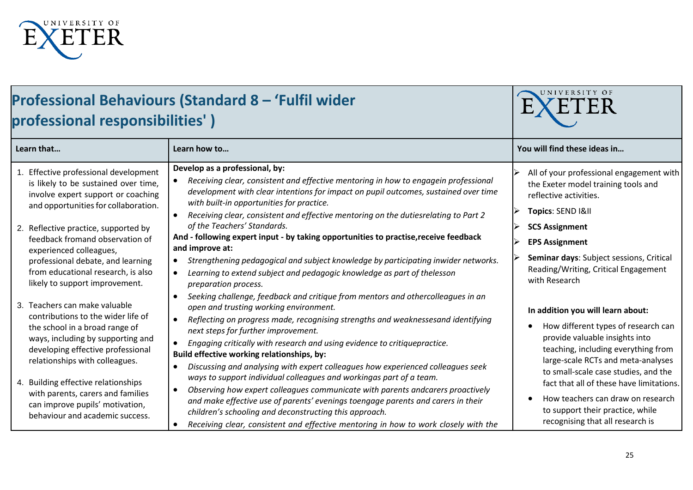

# **Professional Behaviours (Standard 8 – 'Fulfil wider professional responsibilities' )**

| Learn that                                                                                                                                               | Learn how to                                                                                                                                                                                                                                                                                                                                                                                                         | You will find these ideas in                                                                                                                                                                  |
|----------------------------------------------------------------------------------------------------------------------------------------------------------|----------------------------------------------------------------------------------------------------------------------------------------------------------------------------------------------------------------------------------------------------------------------------------------------------------------------------------------------------------------------------------------------------------------------|-----------------------------------------------------------------------------------------------------------------------------------------------------------------------------------------------|
| Effective professional development<br>is likely to be sustained over time,<br>involve expert support or coaching<br>and opportunities for collaboration. | Develop as a professional, by:<br>Receiving clear, consistent and effective mentoring in how to engagein professional<br>development with clear intentions for impact on pupil outcomes, sustained over time<br>with built-in opportunities for practice.<br>Receiving clear, consistent and effective mentoring on the dutiesrelating to Part 2                                                                     | All of your professional engagement with<br>the Exeter model training tools and<br>reflective activities.<br>Topics: SEND I&II                                                                |
| 2. Reflective practice, supported by                                                                                                                     | of the Teachers' Standards.                                                                                                                                                                                                                                                                                                                                                                                          | <b>SCS Assignment</b>                                                                                                                                                                         |
| feedback fromand observation of<br>experienced colleagues,                                                                                               | And - following expert input - by taking opportunities to practise, receive feedback<br>and improve at:                                                                                                                                                                                                                                                                                                              | <b>EPS Assignment</b>                                                                                                                                                                         |
| professional debate, and learning<br>from educational research, is also<br>likely to support improvement.                                                | Strengthening pedagogical and subject knowledge by participating inwider networks.<br>$\bullet$<br>Learning to extend subject and pedagogic knowledge as part of thelesson<br>$\bullet$<br>preparation process.                                                                                                                                                                                                      | Seminar days: Subject sessions, Critical<br>Reading/Writing, Critical Engagement<br>with Research                                                                                             |
| 3. Teachers can make valuable<br>contributions to the wider life of                                                                                      | Seeking challenge, feedback and critique from mentors and othercolleagues in an<br>$\bullet$<br>open and trusting working environment.                                                                                                                                                                                                                                                                               | In addition you will learn about:                                                                                                                                                             |
| the school in a broad range of<br>ways, including by supporting and<br>developing effective professional<br>relationships with colleagues.               | Reflecting on progress made, recognising strengths and weaknessesand identifying<br>next steps for further improvement.<br>Engaging critically with research and using evidence to critiquepractice.<br>$\bullet$<br>Build effective working relationships, by:<br>Discussing and analysing with expert colleagues how experienced colleagues seek<br>$\bullet$                                                      | How different types of research can<br>provide valuable insights into<br>teaching, including everything from<br>large-scale RCTs and meta-analyses                                            |
| 4. Building effective relationships<br>with parents, carers and families<br>can improve pupils' motivation,<br>behaviour and academic success.           | ways to support individual colleagues and workingas part of a team.<br>Observing how expert colleagues communicate with parents andcarers proactively<br>$\bullet$<br>and make effective use of parents' evenings toengage parents and carers in their<br>children's schooling and deconstructing this approach.<br>Receiving clear, consistent and effective mentoring in how to work closely with the<br>$\bullet$ | to small-scale case studies, and the<br>fact that all of these have limitations.<br>How teachers can draw on research<br>to support their practice, while<br>recognising that all research is |

WNIVERSITY OF

E